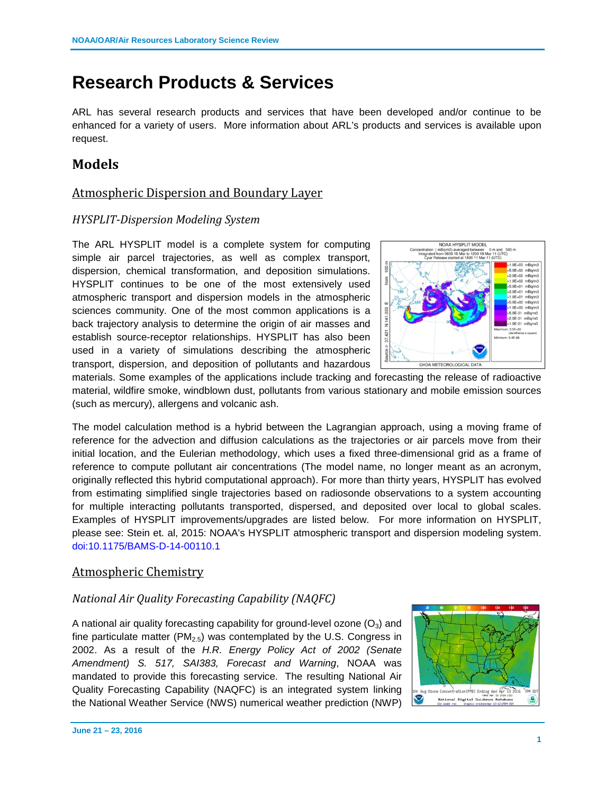# **Research Products & Services**

ARL has several research products and services that have been developed and/or continue to be enhanced for a variety of users. More information about ARL's products and services is available upon request.

# **Models**

# Atmospheric Dispersion and Boundary Layer

## *HYSPLIT-Dispersion Modeling System*

The ARL HYSPLIT model is a complete system for computing simple air parcel trajectories, as well as complex transport, dispersion, chemical transformation, and deposition simulations. HYSPLIT continues to be one of the most extensively used atmospheric transport and dispersion models in the atmospheric sciences community. One of the most common applications is a back trajectory analysis to determine the origin of air masses and establish source-receptor relationships. HYSPLIT has also been used in a variety of simulations describing the atmospheric transport, dispersion, and deposition of pollutants and hazardous



materials. Some examples of the applications include tracking and forecasting the release of radioactive material, wildfire smoke, windblown dust, pollutants from various stationary and mobile emission sources (such as mercury), allergens and volcanic ash.

The model calculation method is a hybrid between the Lagrangian approach, using a moving frame of reference for the advection and diffusion calculations as the trajectories or air parcels move from their initial location, and the Eulerian methodology, which uses a fixed three-dimensional grid as a frame of reference to compute pollutant air concentrations (The model name, no longer meant as an acronym, originally reflected this hybrid computational approach). For more than thirty years, HYSPLIT has evolved from estimating simplified single trajectories based on radiosonde observations to a system accounting for multiple interacting pollutants transported, dispersed, and deposited over local to global scales. Examples of HYSPLIT improvements/upgrades are listed below. For more information on HYSPLIT, please see: Stein et. al, 2015: NOAA's HYSPLIT atmospheric transport and dispersion modeling system. doi:10.1175/BAMS-D-14-00110.1

# Atmospheric Chemistry

#### *National Air Quality Forecasting Capability (NAQFC)*

A national air quality forecasting capability for ground-level ozone  $(O_3)$  and fine particulate matter ( $PM<sub>2.5</sub>$ ) was contemplated by the U.S. Congress in 2002. As a result of the *H.R. Energy Policy Act of 2002 (Senate Amendment) S. 517, SAI383, Forecast and Warning*, NOAA was mandated to provide this forecasting service. The resulting National Air Quality Forecasting Capability (NAQFC) is an integrated system linking the National Weather Service (NWS) numerical weather prediction (NWP)

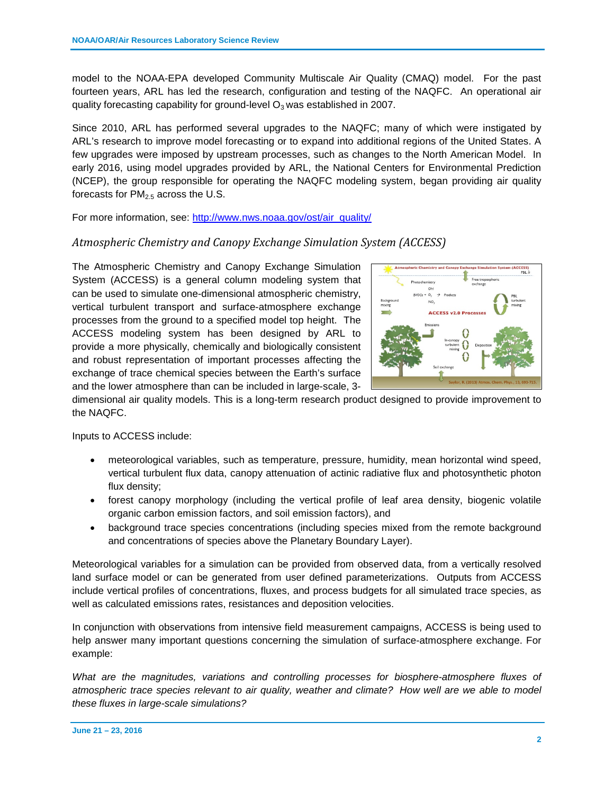model to the NOAA-EPA developed Community Multiscale Air Quality (CMAQ) model. For the past fourteen years, ARL has led the research, configuration and testing of the NAQFC. An operational air quality forecasting capability for ground-level  $O_3$  was established in 2007.

Since 2010, ARL has performed several upgrades to the NAQFC; many of which were instigated by ARL's research to improve model forecasting or to expand into additional regions of the United States. A few upgrades were imposed by upstream processes, such as changes to the North American Model. In early 2016, using model upgrades provided by ARL, the National Centers for Environmental Prediction (NCEP), the group responsible for operating the NAQFC modeling system, began providing air quality forecasts for  $PM<sub>2.5</sub>$  across the U.S.

For more information, see: [http://www.nws.noaa.gov/ost/air\\_quality/](http://www.nws.noaa.gov/ost/air_quality/)

## *Atmospheric Chemistry and Canopy Exchange Simulation System (ACCESS)*

The Atmospheric Chemistry and Canopy Exchange Simulation System (ACCESS) is a general column modeling system that can be used to simulate one-dimensional atmospheric chemistry, vertical turbulent transport and surface-atmosphere exchange processes from the ground to a specified model top height. The ACCESS modeling system has been designed by ARL to provide a more physically, chemically and biologically consistent and robust representation of important processes affecting the exchange of trace chemical species between the Earth's surface and the lower atmosphere than can be included in large-scale, 3-



dimensional air quality models. This is a long-term research product designed to provide improvement to the NAQFC.

Inputs to ACCESS include:

- meteorological variables, such as temperature, pressure, humidity, mean horizontal wind speed, vertical turbulent flux data, canopy attenuation of actinic radiative flux and photosynthetic photon flux density;
- forest canopy morphology (including the vertical profile of leaf area density, biogenic volatile organic carbon emission factors, and soil emission factors), and
- background trace species concentrations (including species mixed from the remote background and concentrations of species above the Planetary Boundary Layer).

Meteorological variables for a simulation can be provided from observed data, from a vertically resolved land surface model or can be generated from user defined parameterizations. Outputs from ACCESS include vertical profiles of concentrations, fluxes, and process budgets for all simulated trace species, as well as calculated emissions rates, resistances and deposition velocities.

In conjunction with observations from intensive field measurement campaigns, ACCESS is being used to help answer many important questions concerning the simulation of surface-atmosphere exchange. For example:

*What are the magnitudes, variations and controlling processes for biosphere-atmosphere fluxes of atmospheric trace species relevant to air quality, weather and climate? How well are we able to model these fluxes in large-scale simulations?*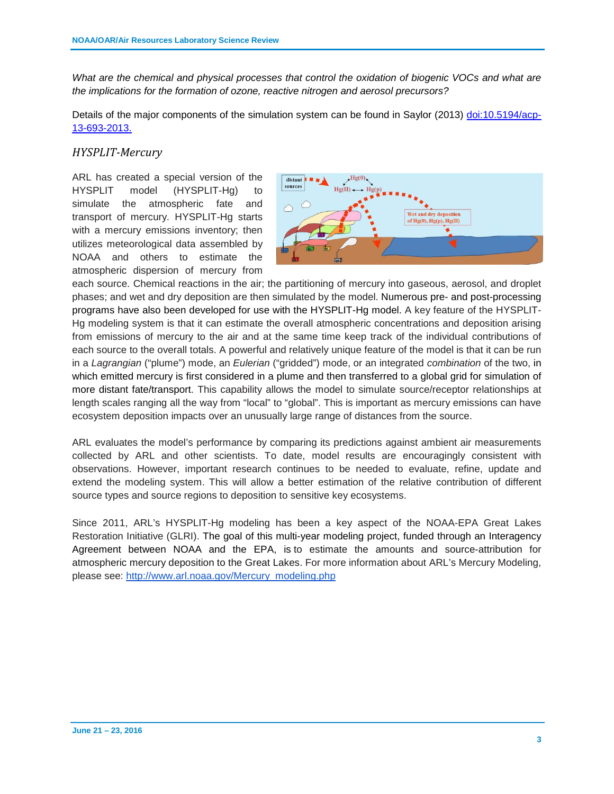*What are the chemical and physical processes that control the oxidation of biogenic VOCs and what are the implications for the formation of ozone, reactive nitrogen and aerosol precursors?*

Details of the major components of the simulation system can be found in Saylor (2013) [doi:10.5194/acp-](http://www.atmos-chem-phys.net/13/693/2013/)[13-693-2013.](http://www.atmos-chem-phys.net/13/693/2013/) 

#### *HYSPLIT-Mercury*

ARL has created a special version of the HYSPLIT model (HYSPLIT-Hg) to simulate the atmospheric fate and transport of mercury. HYSPLIT-Hg starts with a mercury emissions inventory; then utilizes meteorological data assembled by NOAA and others to estimate the atmospheric dispersion of mercury from



each source. Chemical reactions in the air; the partitioning of mercury into gaseous, aerosol, and droplet phases; and wet and dry deposition are then simulated by the model. Numerous pre- and post-processing programs have also been developed for use with the HYSPLIT-Hg model. A key feature of the HYSPLIT-Hg modeling system is that it can estimate the overall atmospheric concentrations and deposition arising from emissions of mercury to the air and at the same time keep track of the individual contributions of each source to the overall totals. A powerful and relatively unique feature of the model is that it can be run in a *Lagrangian* ("plume") mode, an *Eulerian* ("gridded") mode, or an integrated *combination* of the two, in which emitted mercury is first considered in a plume and then transferred to a global grid for simulation of more distant fate/transport. This capability allows the model to simulate source/receptor relationships at length scales ranging all the way from "local" to "global". This is important as mercury emissions can have ecosystem deposition impacts over an unusually large range of distances from the source.

ARL evaluates the model's performance by comparing its predictions against ambient air measurements collected by ARL and other scientists. To date, model results are encouragingly consistent with observations. However, important research continues to be needed to evaluate, refine, update and extend the modeling system. This will allow a better estimation of the relative contribution of different source types and source regions to deposition to sensitive key ecosystems.

Since 2011, ARL's HYSPLIT-Hg modeling has been a key aspect of the NOAA-EPA Great Lakes Restoration Initiative (GLRI). The goal of this multi-year modeling project, funded through an Interagency Agreement between NOAA and the EPA, is to estimate the amounts and source-attribution for atmospheric mercury deposition to the Great Lakes. For more information about ARL's Mercury Modeling, please see: [http://www.arl.noaa.gov/Mercury\\_modeling.php](http://www.arl.noaa.gov/Mercury_modeling.php)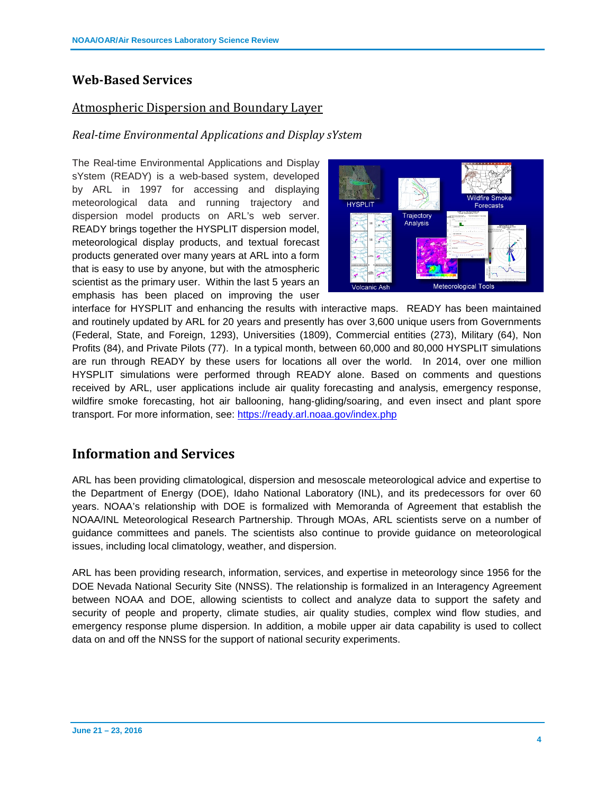# **Web-Based Services**

# Atmospheric Dispersion and Boundary Layer

## *Real-time Environmental Applications and Display sYstem*

The Real-time Environmental Applications and Display sYstem (READY) is a web-based system, developed by ARL in 1997 for accessing and displaying meteorological data and running trajectory and dispersion model products on ARL's web server. READY brings together the HYSPLIT dispersion model, meteorological display products, and textual forecast products generated over many years at ARL into a form that is easy to use by anyone, but with the atmospheric scientist as the primary user. Within the last 5 years an emphasis has been placed on improving the user



interface for HYSPLIT and enhancing the results with interactive maps. READY has been maintained and routinely updated by ARL for 20 years and presently has over 3,600 unique users from Governments (Federal, State, and Foreign, 1293), Universities (1809), Commercial entities (273), Military (64), Non Profits (84), and Private Pilots (77). In a typical month, between 60,000 and 80,000 HYSPLIT simulations are run through READY by these users for locations all over the world. In 2014, over one million HYSPLIT simulations were performed through READY alone. Based on comments and questions received by ARL, user applications include air quality forecasting and analysis, emergency response, wildfire smoke forecasting, hot air ballooning, hang-gliding/soaring, and even insect and plant spore transport. For more information, see:<https://ready.arl.noaa.gov/index.php>

# **Information and Services**

ARL has been providing climatological, dispersion and mesoscale meteorological advice and expertise to the Department of Energy (DOE), Idaho National Laboratory (INL), and its predecessors for over 60 years. NOAA's relationship with DOE is formalized with Memoranda of Agreement that establish the NOAA/INL Meteorological Research Partnership. Through MOAs, ARL scientists serve on a number of guidance committees and panels. The scientists also continue to provide guidance on meteorological issues, including local climatology, weather, and dispersion.

ARL has been providing research, information, services, and expertise in meteorology since 1956 for the DOE Nevada National Security Site (NNSS). The relationship is formalized in an Interagency Agreement between NOAA and DOE, allowing scientists to collect and analyze data to support the safety and security of people and property, climate studies, air quality studies, complex wind flow studies, and emergency response plume dispersion. In addition, a mobile upper air data capability is used to collect data on and off the NNSS for the support of national security experiments.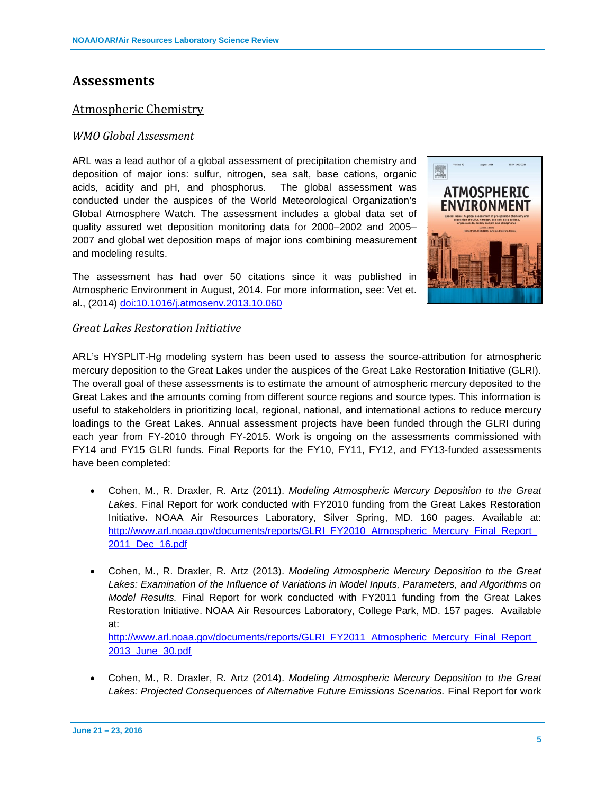# **Assessments**

## Atmospheric Chemistry

#### *WMO Global Assessment*

ARL was a lead author of a global assessment of precipitation chemistry and deposition of major ions: sulfur, nitrogen, sea salt, base cations, organic acids, acidity and pH, and phosphorus. The global assessment was conducted under the auspices of the World Meteorological Organization's Global Atmosphere Watch. The assessment includes a global data set of quality assured wet deposition monitoring data for 2000–2002 and 2005– 2007 and global wet deposition maps of major ions combining measurement and modeling results.

The assessment has had over 50 citations since it was published in Atmospheric Environment in August, 2014. For more information, see: Vet et. al., (2014) [doi:10.1016/j.atmosenv.2013.10.060](http://www.sciencedirect.com/science/article/pii/S1352231013008133)



#### *Great Lakes Restoration Initiative*

ARL's HYSPLIT-Hg modeling system has been used to assess the source-attribution for atmospheric mercury deposition to the Great Lakes under the auspices of the Great Lake Restoration Initiative (GLRI). The overall goal of these assessments is to estimate the amount of atmospheric mercury deposited to the Great Lakes and the amounts coming from different source regions and source types. This information is useful to stakeholders in prioritizing local, regional, national, and international actions to reduce mercury loadings to the Great Lakes. Annual assessment projects have been funded through the GLRI during each year from FY-2010 through FY-2015. Work is ongoing on the assessments commissioned with FY14 and FY15 GLRI funds. Final Reports for the FY10, FY11, FY12, and FY13-funded assessments have been completed:

- Cohen, M., R. Draxler, R. Artz (2011). *Modeling Atmospheric Mercury Deposition to the Great Lakes.* Final Report for work conducted with FY2010 funding from the Great Lakes Restoration Initiative**.** NOAA Air Resources Laboratory, Silver Spring, MD. 160 pages. Available at: [http://www.arl.noaa.gov/documents/reports/GLRI\\_FY2010\\_Atmospheric\\_Mercury\\_Final\\_Report\\_](http://www.arl.noaa.gov/documents/reports/GLRI_FY2010_Atmospheric_Mercury_Final_Report_2011_Dec_16.pdf) [2011\\_Dec\\_16.pdf](http://www.arl.noaa.gov/documents/reports/GLRI_FY2010_Atmospheric_Mercury_Final_Report_2011_Dec_16.pdf)
- Cohen, M., R. Draxler, R. Artz (2013). *Modeling Atmospheric Mercury Deposition to the Great*  Lakes: Examination of the Influence of Variations in Model Inputs, Parameters, and Algorithms on *Model Results.* Final Report for work conducted with FY2011 funding from the Great Lakes Restoration Initiative. NOAA Air Resources Laboratory, College Park, MD. 157 pages. Available at:

http://www.arl.noaa.gov/documents/reports/GLRI\_FY2011\_Atmospheric\_Mercury\_Final\_Report [2013\\_June\\_30.pdf](http://www.arl.noaa.gov/documents/reports/GLRI_FY2011_Atmospheric_Mercury_Final_Report_2013_June_30.pdf)

• Cohen, M., R. Draxler, R. Artz (2014). *Modeling Atmospheric Mercury Deposition to the Great Lakes: Projected Consequences of Alternative Future Emissions Scenarios.* Final Report for work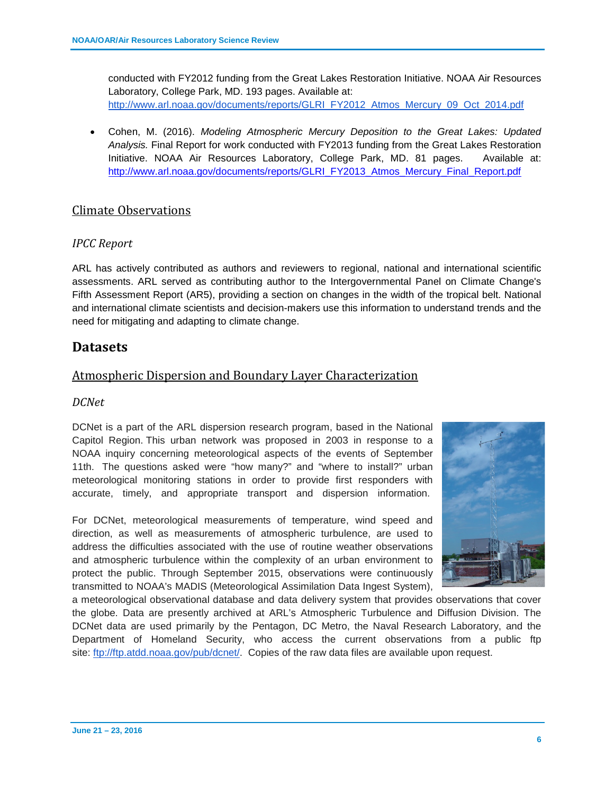conducted with FY2012 funding from the Great Lakes Restoration Initiative. NOAA Air Resources Laboratory, College Park, MD. 193 pages. Available at: [http://www.arl.noaa.gov/documents/reports/GLRI\\_FY2012\\_Atmos\\_Mercury\\_09\\_Oct\\_2014.pdf](http://www.arl.noaa.gov/documents/reports/GLRI_FY2012_Atmos_Mercury_09_Oct_2014.pdf)

• Cohen, M. (2016). *Modeling Atmospheric Mercury Deposition to the Great Lakes: Updated Analysis.* Final Report for work conducted with FY2013 funding from the Great Lakes Restoration Initiative. NOAA Air Resources Laboratory, College Park, MD. 81 pages. Available at: [http://www.arl.noaa.gov/documents/reports/GLRI\\_FY2013\\_Atmos\\_Mercury\\_Final\\_Report.pdf](http://www.arl.noaa.gov/documents/reports/GLRI_FY2013_Atmos_Mercury_Final_Report.pdf)

# Climate Observations

## *IPCC Report*

ARL has actively contributed as authors and reviewers to regional, national and international scientific assessments. ARL served as contributing author to the Intergovernmental Panel on Climate Change's Fifth Assessment Report (AR5), providing a section on changes in the width of the tropical belt. National and international climate scientists and decision-makers use this information to understand trends and the need for mitigating and adapting to climate change.

# **Datasets**

# Atmospheric Dispersion and Boundary Layer Characterization

#### *DCNet*

DCNet is a part of the ARL dispersion research program, based in the National Capitol Region. This urban network was proposed in 2003 in response to a NOAA inquiry concerning meteorological aspects of the events of September 11th. The questions asked were "how many?" and "where to install?" urban meteorological monitoring stations in order to provide first responders with accurate, timely, and appropriate transport and dispersion information.

For DCNet, meteorological measurements of temperature, wind speed and direction, as well as measurements of atmospheric turbulence, are used to address the difficulties associated with the use of routine weather observations and atmospheric turbulence within the complexity of an urban environment to protect the public. Through September 2015, observations were continuously transmitted to NOAA's MADIS (Meteorological Assimilation Data Ingest System),



a meteorological observational database and data delivery system that provides observations that cover the globe. Data are presently archived at ARL's Atmospheric Turbulence and Diffusion Division. The DCNet data are used primarily by the Pentagon, DC Metro, the Naval Research Laboratory, and the Department of Homeland Security, who access the current observations from a public ftp site: [ftp://ftp.atdd.noaa.gov/pub/dcnet/.](ftp://ftp.atdd.noaa.gov/pub/dcnet/) Copies of the raw data files are available upon request.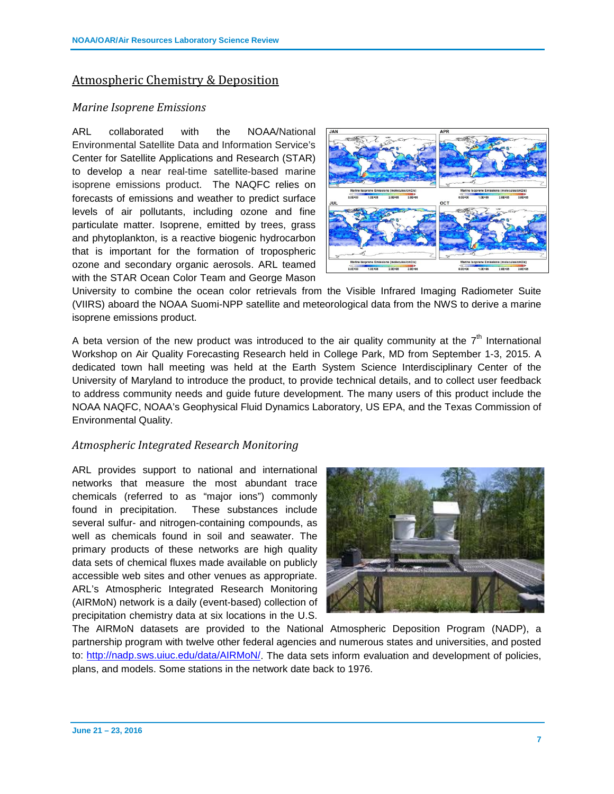# Atmospheric Chemistry & Deposition

#### *Marine Isoprene Emissions*

ARL collaborated with the NOAA/National Environmental Satellite Data and Information Service's Center for Satellite Applications and Research (STAR) to develop a near real-time satellite-based marine isoprene emissions product. The NAQFC relies on forecasts of emissions and weather to predict surface levels of air pollutants, including ozone and fine particulate matter. Isoprene, emitted by trees, grass and phytoplankton, is a reactive biogenic hydrocarbon that is important for the formation of tropospheric ozone and secondary organic aerosols. ARL teamed with the STAR Ocean Color Team and George Mason



University to combine the ocean color retrievals from the Visible Infrared Imaging Radiometer Suite (VIIRS) aboard the NOAA Suomi-NPP satellite and meteorological data from the NWS to derive a marine isoprene emissions product.

A beta version of the new product was introduced to the air quality community at the  $7<sup>th</sup>$  International Workshop on Air Quality Forecasting Research held in College Park, MD from September 1-3, 2015. A dedicated town hall meeting was held at the Earth System Science Interdisciplinary Center of the University of Maryland to introduce the product, to provide technical details, and to collect user feedback to address community needs and guide future development. The many users of this product include the NOAA NAQFC, NOAA's Geophysical Fluid Dynamics Laboratory, US EPA, and the Texas Commission of Environmental Quality.

#### *Atmospheric Integrated Research Monitoring*

ARL provides support to national and international networks that measure the most abundant trace chemicals (referred to as "major ions") commonly found in precipitation. These substances include several sulfur- and nitrogen-containing compounds, as well as chemicals found in soil and seawater. The primary products of these networks are high quality data sets of chemical fluxes made available on publicly accessible web sites and other venues as appropriate. ARL's Atmospheric Integrated Research Monitoring (AIRMoN) network is a daily (event-based) collection of precipitation chemistry data at six locations in the U.S.



The AIRMoN datasets are provided to the National Atmospheric Deposition Program (NADP), a partnership program with twelve other federal agencies and numerous states and universities, and posted to: [http://nadp.sws.uiuc.edu/data/AIRMoN/.](http://nadp.sws.uiuc.edu/data/AIRMoN/) The data sets inform evaluation and development of policies, plans, and models. Some stations in the network date back to 1976.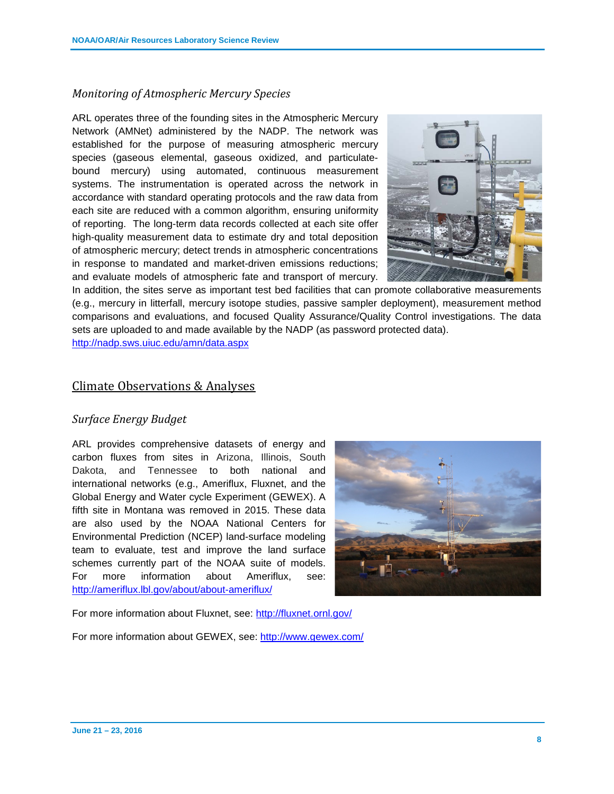## *Monitoring of Atmospheric Mercury Species*

ARL operates three of the founding sites in the Atmospheric Mercury Network (AMNet) administered by the NADP. The network was established for the purpose of measuring atmospheric mercury species (gaseous elemental, gaseous oxidized, and particulatebound mercury) using automated, continuous measurement systems. The instrumentation is operated across the network in accordance with standard operating protocols and the raw data from each site are reduced with a common algorithm, ensuring uniformity of reporting. The long-term data records collected at each site offer high-quality measurement data to estimate dry and total deposition of atmospheric mercury; detect trends in atmospheric concentrations in response to mandated and market-driven emissions reductions; and evaluate models of atmospheric fate and transport of mercury.



In addition, the sites serve as important test bed facilities that can promote collaborative measurements (e.g., mercury in litterfall, mercury isotope studies, passive sampler deployment), measurement method comparisons and evaluations, and focused Quality Assurance/Quality Control investigations. The data sets are uploaded to and made available by the NADP (as password protected data).

<http://nadp.sws.uiuc.edu/amn/data.aspx>

#### Climate Observations & Analyses

#### *Surface Energy Budget*

ARL provides comprehensive datasets of energy and carbon fluxes from sites in Arizona, Illinois, South Dakota, and Tennessee to both national and international networks (e.g., Ameriflux, Fluxnet, and the Global Energy and Water cycle Experiment (GEWEX). A fifth site in Montana was removed in 2015. These data are also used by the NOAA National Centers for Environmental Prediction (NCEP) land-surface modeling team to evaluate, test and improve the land surface schemes currently part of the NOAA suite of models. For more information about Ameriflux, see: <http://ameriflux.lbl.gov/about/about-ameriflux/>



For more information about Fluxnet, see:<http://fluxnet.ornl.gov/>

For more information about GEWEX, see:<http://www.gewex.com/>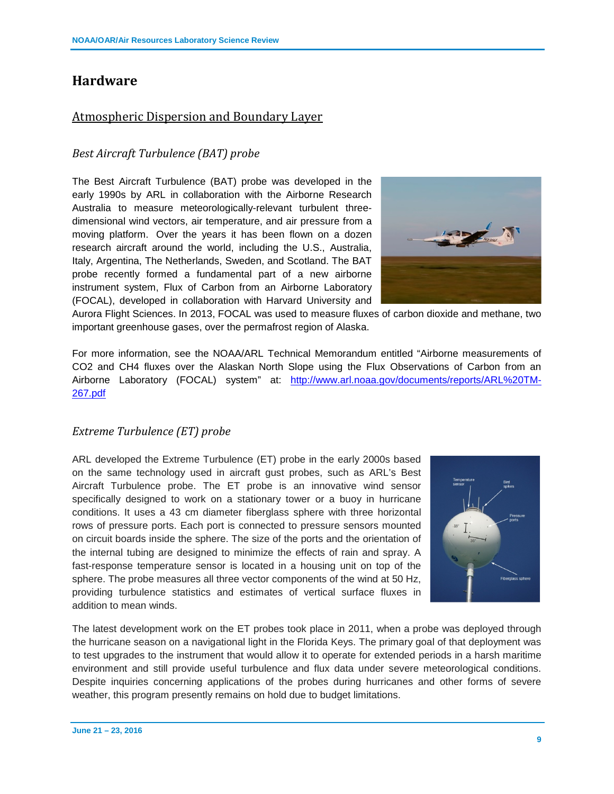# **Hardware**

# Atmospheric Dispersion and Boundary Layer

## *Best Aircraft Turbulence (BAT) probe*

The Best Aircraft Turbulence (BAT) probe was developed in the early 1990s by ARL in collaboration with the Airborne Research Australia to measure meteorologically-relevant turbulent threedimensional wind vectors, air temperature, and air pressure from a moving platform. Over the years it has been flown on a dozen research aircraft around the world, including the U.S., Australia, Italy, Argentina, The Netherlands, Sweden, and Scotland. The BAT probe recently formed a fundamental part of a new airborne instrument system, Flux of Carbon from an Airborne Laboratory (FOCAL), developed in collaboration with Harvard University and



Aurora Flight Sciences. In 2013, FOCAL was used to measure fluxes of carbon dioxide and methane, two important greenhouse gases, over the permafrost region of Alaska.

For more information, see the NOAA/ARL Technical Memorandum entitled "Airborne measurements of CO2 and CH4 fluxes over the Alaskan North Slope using the Flux Observations of Carbon from an Airborne Laboratory (FOCAL) system" at: [http://www.arl.noaa.gov/documents/reports/ARL%20TM-](http://www.arl.noaa.gov/documents/reports/ARL%20TM-267.pdf)[267.pdf](http://www.arl.noaa.gov/documents/reports/ARL%20TM-267.pdf)

#### *Extreme Turbulence (ET) probe*

ARL developed the Extreme Turbulence (ET) probe in the early 2000s based on the same technology used in aircraft gust probes, such as ARL's Best Aircraft Turbulence probe. The ET probe is an innovative wind sensor specifically designed to work on a stationary tower or a buoy in hurricane conditions. It uses a 43 cm diameter fiberglass sphere with three horizontal rows of pressure ports. Each port is connected to pressure sensors mounted on circuit boards inside the sphere. The size of the ports and the orientation of the internal tubing are designed to minimize the effects of rain and spray. A fast-response temperature sensor is located in a housing unit on top of the sphere. The probe measures all three vector components of the wind at 50 Hz, providing turbulence statistics and estimates of vertical surface fluxes in addition to mean winds.



The latest development work on the ET probes took place in 2011, when a probe was deployed through the hurricane season on a navigational light in the Florida Keys. The primary goal of that deployment was to test upgrades to the instrument that would allow it to operate for extended periods in a harsh maritime environment and still provide useful turbulence and flux data under severe meteorological conditions. Despite inquiries concerning applications of the probes during hurricanes and other forms of severe weather, this program presently remains on hold due to budget limitations.